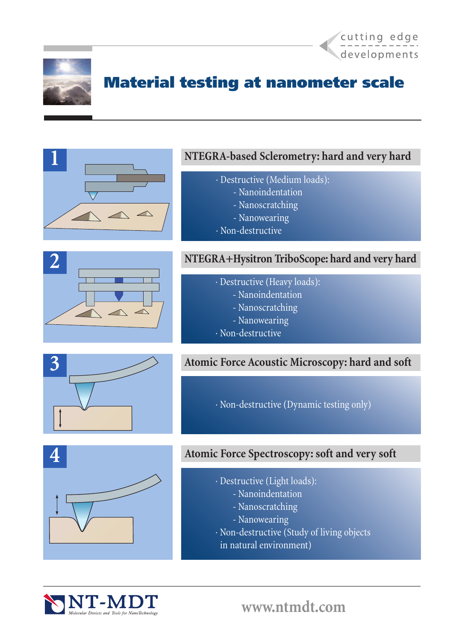



# Material testing at nanometer scale

### **NTEGRA-based Sclerometry: hard and very hard**

- · Destructive (Medium loads):
	- Nanoindentation
	- Nanoscratching
	- Nanowearing
- · Non-destructive



### **NTEGRA+Hysitron TriboScope: hard and very hard**

- · Destructive (Heavy loads):
	- Nanoindentation
	- Nanoscratching
	- Nanowearing
- · Non-destructive



**Atomic Force Acoustic Microscopy: hard and soft**

· Non-destructive (Dynamic testing only)



### **Atomic Force Spectroscopy: soft and very soft**

- · Destructive (Light loads):
	- Nanoindentation
	- Nanoscratching
	- Nanowearing
- · Non-destructive (Study of living objects
	- in natural environment)

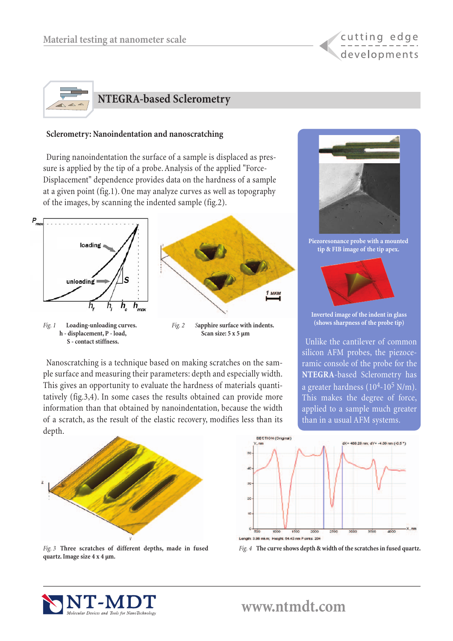



#### **Sclerometry: Nanoindentation and nanoscratching**

During nanoindentation the surface of a sample is displaced as pressure is applied by the tip of a probe. Analysis of the applied "Force-Displacement" dependence provides data on the hardness of a sample at a given point (fig.1). One may analyze curves as well as topography of the images, by scanning the indented sample (fig.2).



*Fig. 1* **Loading-unloading curves. h - displacement, P - load, S - contact stiffness.**



*Fig. 2 S***apphire surface with indents. Scan size: 5 x 5 µm**

Nanoscratching is a technique based on making scratches on the sample surface and measuring their parameters: depth and especially width. This gives an opportunity to evaluate the hardness of materials quantitatively (fig.3,4). In some cases the results obtained can provide more information than that obtained by nanoindentation, because the width of a scratch, as the result of the elastic recovery, modifies less than its depth.



*Fig. 3* **Three scratches of different depths, made in fused quartz. Image size 4 x 4 µm.**







**Inverted image of the indent in glass (shows sharpness of the probe tip)**

Unlike the cantilever of common silicon AFM probes, the piezoceramic console of the probe for the **NTEGRA**-based Sclerometry has a greater hardness  $(10^4 - 10^5 \text{ N/m})$ . This makes the degree of force, applied to a sample much greater than in a usual AFM systems.

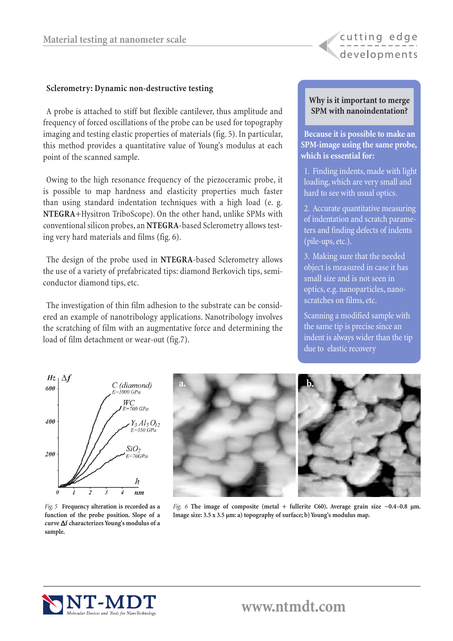#### **Sclerometry: Dynamic non-destructive testing**

A probe is attached to stiff but flexible cantilever, thus amplitude and frequency of forced oscillations of the probe can be used for topography imaging and testing elastic properties of materials (fig. 5). In particular, this method provides a quantitative value of Young's modulus at each point of the scanned sample.

Owing to the high resonance frequency of the piezoceramic probe, it is possible to map hardness and elasticity properties much faster than using standard indentation techniques with a high load (e. g. **NTEGRA**+Hysitron TriboScope). On the other hand, unlike SPMs with conventional silicon probes, an **NTEGRA**-based Sclerometry allows testing very hard materials and films (fig. 6).

The design of the probe used in **NTEGRA**-based Sclerometry allows the use of a variety of prefabricated tips: diamond Berkovich tips, semiconductor diamond tips, etc.

The investigation of thin film adhesion to the substrate can be considered an example of nanotribology applications. Nanotribology involves the scratching of film with an augmentative force and determining the load of film detachment or wear-out (fig.7).

#### **Why is it important to merge SPM with nanoindentation?**

cutting edge

developments

**Because it is possible to make an SPM-image using the same probe, which is essential for:**

1. Finding indents, made with light loading, which are very small and hard to see with usual optics.

2. Accurate quantitative measuring of indentation and scratch parameters and finding defects of indents (pile-ups, etc.).

3. Making sure that the needed object is measured in case it has small size and is not seen in optics, e.g. nanoparticles, nanoscratches on films, etc.

Scanning a modified sample with the same tip is precise since an indent is always wider than the tip due to elastic recovery



*Fig. 5* **Frequency alteration is recorded as a function of the probe position. Slope of a curve** ∆**f characterizes Young's modulus of a sample.**



*Fig. 6* **The image of composite (metal + fullerite C60). Average grain size ~0.4–0.8 µm. Image size: 3.5 x 3.5 µm: a) topography of surface; b) Young's modulus map.**

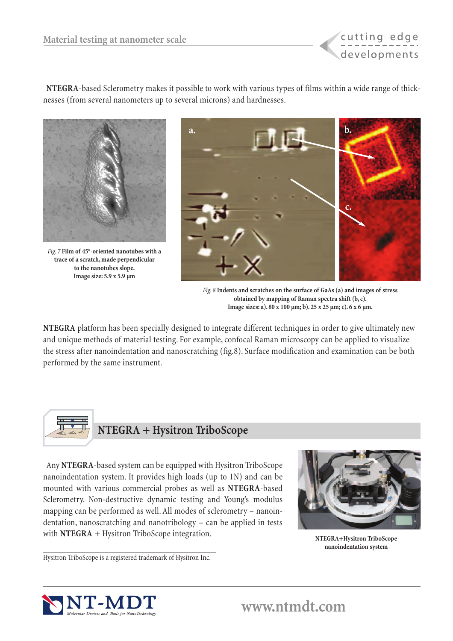

**NTEGRA**-based Sclerometry makes it possible to work with various types of films within a wide range of thicknesses (from several nanometers up to several microns) and hardnesses.



*Fig. 7* **Film of 45°-oriented nanotubes with a trace of a scratch, made perpendicular to the nanotubes slope. Image size: 5.9 x 5.9 µm**



*Fig. 8* **Indents and scratches on the surface of GaAs (a) and images of stress obtained by mapping of Raman spectra shift (b, c). Image sizes: a). 80 x 100 µm; b). 25 x 25 µm; c). 6 x 6 µm.**

**NTEGRA** platform has been specially designed to integrate different techniques in order to give ultimately new and unique methods of material testing. For example, confocal Raman microscopy can be applied to visualize the stress after nanoindentation and nanoscratching (fig.8). Surface modification and examination can be both performed by the same instrument.



Any **NTEGRA**-based system can be equipped with Hysitron TriboScope nanoindentation system. It provides high loads (up to 1N) and can be mounted with various commercial probes as well as **NTEGRA**-based Sclerometry. Non-destructive dynamic testing and Young's modulus mapping can be performed as well. All modes of sclerometry – nanoindentation, nanoscratching and nanotribology – can be applied in tests with **NTEGRA** + Hysitron TriboScope integration.



**NTEGRA+Hysitron TriboScope nanoindentation system** 

Hysitron TriboScope is a registered trademark of Hysitron Inc.

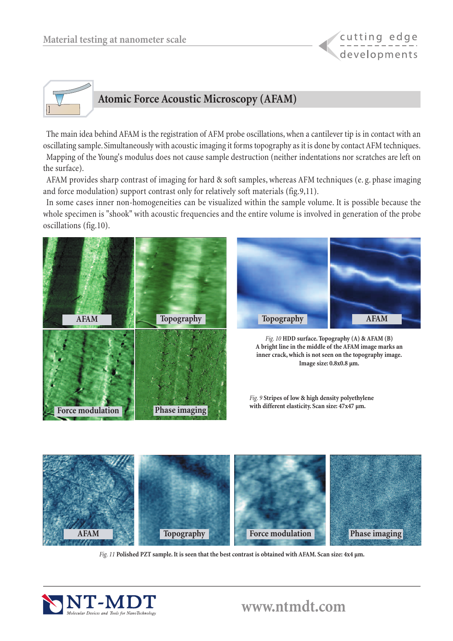



The main idea behind AFAM is the registration of AFM probe oscillations, when a cantilever tip is in contact with an oscillating sample. Simultaneously with acoustic imaging it forms topography as it is done by contact AFM techniques. Mapping of the Young's modulus does not cause sample destruction (neither indentations nor scratches are left on the surface).

AFAM provides sharp contrast of imaging for hard & soft samples, whereas AFM techniques (e. g. phase imaging and force modulation) support contrast only for relatively soft materials (fig.9,11).

In some cases inner non-homogeneities can be visualized within the sample volume. It is possible because the whole specimen is "shook" with acoustic frequencies and the entire volume is involved in generation of the probe oscillations (fig.10).





*Fig. 10* **HDD surface. Topography (A) & AFAM (B) A bright line in the middle of the AFAM image marks an inner crack, which is not seen on the topography image. Image size: 0.8x0.8 µm.**

*Fig. 9* **Stripes of low & high density polyethylene with different elasticity. Scan size: 47x47 µm.**



*Fig. 11* **Polished PZT sample. It is seen that the best contrast is obtained with AFAM. Scan size: 4x4 µm.**